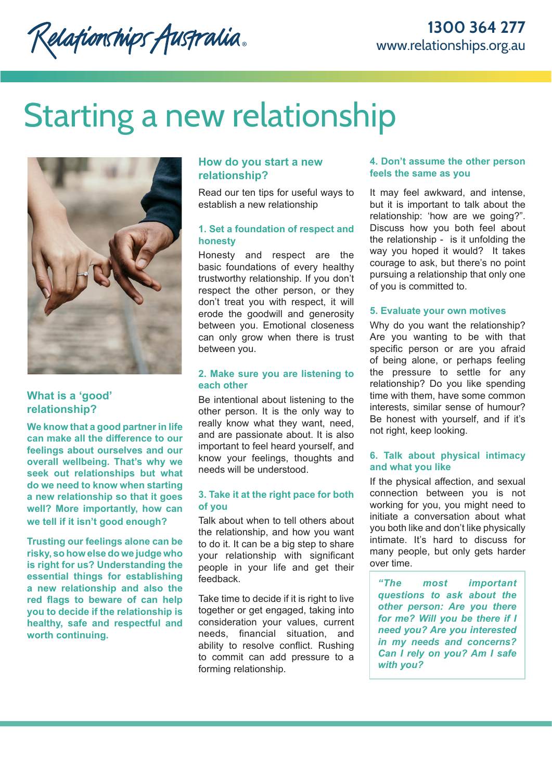Relationships Australia.

# Starting a new relationship



# **What is a 'good' relationship?**

**We know that a good partner in life can make all the difference to our feelings about ourselves and our overall wellbeing. That's why we seek out relationships but what do we need to know when starting a new relationship so that it goes well? More importantly, how can we tell if it isn't good enough?**

**Trusting our feelings alone can be risky, so how else do we judge who is right for us? Understanding the essential things for establishing a new relationship and also the red flags to beware of can help you to decide if the relationship is healthy, safe and respectful and worth continuing.**

# **How do you start a new relationship?**

Read our ten tips for useful ways to establish a new relationship

## **1. Set a foundation of respect and honesty**

Honesty and respect are the basic foundations of every healthy trustworthy relationship. If you don't respect the other person, or they don't treat you with respect, it will erode the goodwill and generosity between you. Emotional closeness can only grow when there is trust between you.

## **2. Make sure you are listening to each other**

Be intentional about listening to the other person. It is the only way to really know what they want, need, and are passionate about. It is also important to feel heard yourself, and know your feelings, thoughts and needs will be understood.

# **3. Take it at the right pace for both of you**

Talk about when to tell others about the relationship, and how you want to do it. It can be a big step to share your relationship with significant people in your life and get their feedback.

Take time to decide if it is right to live together or get engaged, taking into consideration your values, current needs, financial situation, and ability to resolve conflict. Rushing to commit can add pressure to a forming relationship.

## **4. Don't assume the other person feels the same as you**

It may feel awkward, and intense, but it is important to talk about the relationship: 'how are we going?". Discuss how you both feel about the relationship - is it unfolding the way you hoped it would? It takes courage to ask, but there's no point pursuing a relationship that only one of you is committed to.

# **5. Evaluate your own motives**

Why do you want the relationship? Are you wanting to be with that specific person or are you afraid of being alone, or perhaps feeling the pressure to settle for any relationship? Do you like spending time with them, have some common interests, similar sense of humour? Be honest with yourself, and if it's not right, keep looking.

# **6. Talk about physical intimacy and what you like**

If the physical affection, and sexual connection between you is not working for you, you might need to initiate a conversation about what you both like and don't like physically intimate. It's hard to discuss for many people, but only gets harder over time.

*"The most important questions to ask about the other person: Are you there for me? Will you be there if I need you? Are you interested in my needs and concerns? Can I rely on you? Am I safe with you?*